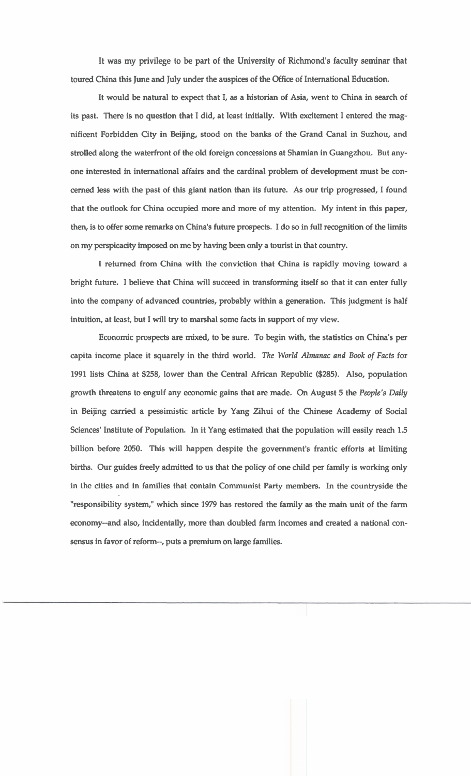It was my privilege to be part of the University of Richmond's faculty seminar that toured China this June and July under the auspices of the Office of International Education.

It would be natural to expect that I, as a historian of Asia, went to China in search of its past. There is no question that I did, at least initially. With excitement I entered the magnificent Forbidden City in Beijing, stood on the banks of the Grand Canal in Suzhou, and strolled along the waterfront of the old foreign concessions at Shamian in Guangzhou. But anyone interested in international affairs and the cardinal problem of development must be concerned less with the past of this giant nation than its future. As our trip progressed, I found that the outlook for China occupied more and more of my attention. My intent in this paper, then, is to offer some remarks on China's future prospects. I do so in full recognition of the limits on my perspicacity imposed on me by having been only a tourist in that country.

I returned from China with the conviction that China is rapidly moving toward a bright future. I believe that China will succeed in transforming itself so that it can enter fully into the company of advanced countries, probably within a generation. This judgment is half intuition, at least, but I will **try** to marshal some facts in support of my view.

Economic prospects are mixed, to be sure. To begin with, the statistics on China's per capita income place it squarely in the third world. *The World Almanac and Book of Facts* for 1991 lists China at \$258, lower than the Central African Republic (\$285). Also, population growth threatens to engulf any economic gains that are made. On August 5 the *People's Daily*  in Beijing carried a pessimistic article by Yang Zihui of the Chinese Academy of Social Sciences' Institute of Population. In it Yang estimated that the population will easily reach 1.5 billion before 2050. This will happen despite the government's frantic efforts at limiting births. Our guides freely admitted to us that the policy of one child per family is working only in the cities and in families that contain Communist Party members. In the countryside the "responsibility system," which since 1979 has restored the family as the main unit of the farm economy--and also, incidentally, more than doubled farm incomes and created a national consensus in favor of reform-, puts a premium on large families.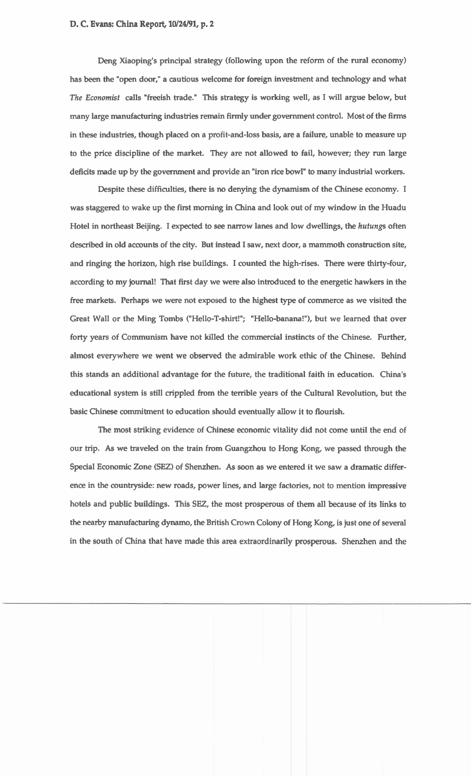## **D. C. Evans: China Report, 1W24191, p. 2**

Deng Xiaoping's principal strategy (following upon the reform of the rural economy) has been the "open door," a cautious welcome for foreign investment and technology and what The *Economist* calls "freeish trade." This strategy is working well, as I will argue below, but many large manufacturing industries remain firmly under government control. Most of the firms in these industries, though placed on a profit-and-loss basis, are a failure, unable to measure up to the price discipline of the market. They are not allowed to fail, however; they run large deficits made up by the government and provide an "iron rice bowl" to many industrial workers.

Despite these difficulties, there is no denying the dynamism of the Chinese economy. I was staggered to wake up the first morning in China and look out of my window in the Huadu Hotel in northeast Beijing. I expected to **see** narrow lanes and low dwellings, the *hutungs* often described in old accounts of the city. But instead I saw, next door, a mammoth construction site, and ringing the horizon, high rise buildings. I counted the high-rises. There were thirty-four, according to my journal! That first day we were also introduced to the energetic hawkers in the **free** markets. Perhaps we were not exposed to the highest type of commerce as we visited the Great Wall or the Ming Tombs ("Hello-T-shirt!"; "Hello-banana!"), but we learned that over forty years of Communism have not killed the commercial instincts of the Chinese. Further, almost everywhere we went we observed the admirable work ethic of the Chinese. Behind this stands an additional advantage for the future, the traditional faith in education. China's educational system is still crippled from the temble years of the Cultural Revolution, but the basic Chinese commitment to education should eventually allow it to flourish.

The most striking evidence of Chinese economic vitality did not come until the end of our trip. As we traveled on the train from Guangzhou to Hong Kong, we passed through the Special Economic Zone (SEZ) of Shenzhen. As soon as we entered it we saw a dramatic difference in the countryside: new roads, power lines, and large factories, not to mention impressive hotels and public buildings. This SEZ, the most prosperous of them all because of its links to the nearby manufacturing dynamo, the British Crown Colony of Hong Kong, is just one of several in the south of China that have made this area extraordinarily prosperous. Shenzhen and the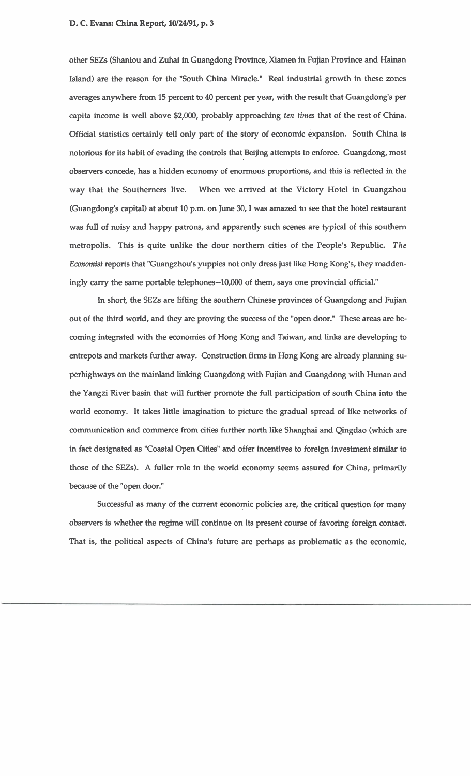## **D.** C. **Evans:** China Report, **10/24/91,** p. 3

other SEZs (Shantou and Zuhai in Guangdong Province, Xiamen in Fujian Province and Hainan Island) are the reason for the "South China Miracle." Real industrial growth in these zones averages anywhere from 15 percent to 40 percent per year, with the result that Guangdong's per capita income is well above \$2,000, probably approaching ten **times** that of the rest of China. Official statistics certainly tell only part of the story of economic expansion. South China is notorious for its habit of evading the controls that Beijing attempts to enforce. Guangdong, most observers concede, has a hidden economy of enormous proportions, and this is reflected in the way that the Southerners live. When we arrived at the Victory Hotel in Guangzhou (Guangdong's capital) at about 10 p.m. on June 30, I was amazed to see that the hotel restaurant was full of noisy and happy patrons, and apparently such scenes are typical of this southern metropolis. This is quite unlike the dour northern cities of the People's Republic. The Economist reports that "Guangzhou's yuppies not only dress just like Hong Kong's, they maddeningly carry the same portable telephones--10,000 of them, says one provincial official."

In short, the SEZs are lifting the southern Chinese provinces of Guangdong and Fujian out of the third world, and they are proving the success of the "open door." These areas are becoming integrated with the economies of Hong Kong and Taiwan, and links are developing to entrepots and markets further away. Construction firms in Hong Kong are already planning superhighways on the mainland linking Guangdong with Fujian and Guangdong with Hunan and the Yangzi River basin that will further promote the full participation of south China into the world economy. It takes little imagination to picture the gradual spread of like networks of communication and commerce from cities further north like Shanghai and Qingdao (which are in fact designated as "Coastal Open Cities" and offer incentives to foreign investment similar to those of the SEZs). A fuller role in the world economy seems assured for China, primarily because of the "open door."

Successful as many of the current economic policies are, the critical question for many observers is whether the regime will continue on its present course of favoring foreign contact. That is, the political aspects of China's future are perhaps as problematic as the economic,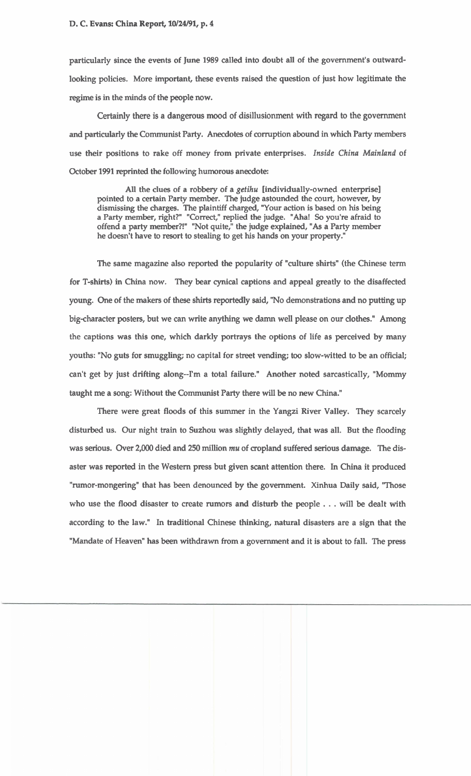## **D. C. Evans: China Report, 10/24/91, p. 4**

particularly since the events of June 1989 called into doubt all of the government's outwardlooking policies. More important, these events raised the question of just how legitimate the regime is in the minds of the people now.

Certainly there is a dangerous mood of disillusionment with regard to the government and particularly the Communist Party. Anecdotes of corruption abound in which Party members use their positions to rake off money from private enterprises. *Inside China Mainland* of October 1991 reprinted the following humorous anecdote:

All the clues of a robbery of a *getihu* [individually-owned enterprise] pointed to a certain Party member. The judge astounded the court, however, by dismissing the charges. The plaintiff charged, "Your action is based on his being a Party member, right?" "Correct," replied the judge. "Aha! So you're afraid to offend a party member?!" "Not quite," the judge explained, "As a Party member he doesn't have to resort to stealing to get his hands on your property."

The same magazine also reported the popularity of "culture shirts" (the Chinese term for T-shirts) in China now. They bear cynical captions and appeal greatly to the disaffected young. One of the makers of these shirts reportedly said, "No demonstrations and no putting up big-character posters, but we can write anything we damn well please on our clothes." Among the captions was this one, which darkly portrays the options of life as perceived by many youths: "No guts for smuggling; no capital for street vending; **too** slow-witted to be an official; can't get by just drifting along--I'm a total failure." Another noted sarcastically, "Mommy taught me a song: Without the Communist Party there will be no new China."

There were great floods of this summer in the Yangzi River Valley. They scarcely disturbed us. Our night train to Suzhou was slightly delayed, that was all. But the flooding was serious. Over **2,000** died and 250 million *mu* of cropland suffered serious damage. The disaster was reported in the Western press but given scant attention there. In China it produced "rumor-mongering" that has been denounced by the government. Xinhua Daily said, "Those who use the flood disaster to create rumors and disturb the people . . . will be dealt with according to the law." In traditional Chinese thinking, natural disasters are a sign that the "Mandate of Heaven" has **been** withdrawn from a government and it is about to fall. The press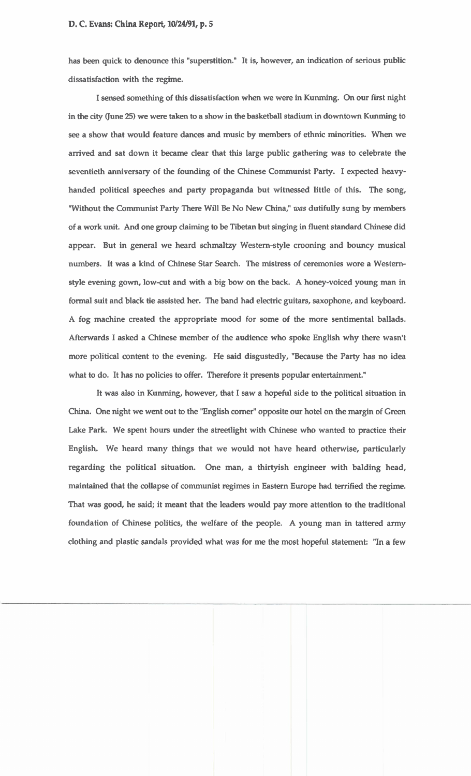has **been** quick to denounce this "superstition." It is, however, an indication of serious public dissatisfaction with the regime.

I sensed something of this dissatisfaction when we were in Kunming. On our first night in the city (June 25) we were taken to a show in the basketball stadium in downtown Kunming to **see** a show that would feature dances and music by members of ethnic minorities. When we arrived and sat down it became clear that this large public gathering was to celebrate the seventieth anniversary of the founding of the Chinese Communist Party. I expected heavyhanded political speeches and party propaganda but witnessed little of this. The song, "Without the Communist Party There Will Be No New China," **was** dutifully sung by members of a work unit. And one group claiming to be Tibetan but singing in fluent standard Chinese did appear. But in general we heard schmaltzy Western-style crooning and bouncy musical numbers. It was a kind of Chinese Star Search. The mistress of ceremonies wore a Westernstyle evening gown, low-cut and with a big bow on the back. A honey-voiced young man in formal suit and black tie assisted her. The band had electric guitars, saxophone, and keyboard. A fog machine created the appropriate mood for some of the more sentimental ballads. Afterwards I asked a Chinese member of the audience who spoke English why there wasn't more political content to the evening. He said disgustedly, "Because the Party has no idea what to do. It has no policies to offer. Therefore it presents popular entertainment."

It was also in Kunming, however, that I saw a hopeful side to the political situation in China. One night we went out to the "English corner" opposite our hotel on the margin of **Green**  Lake Park. We spent hours under the streetlight with Chinese who wanted to practice their English. We heard many things that we would not have heard otherwise, particularly regarding the political situation. One man, a thirtyish engineer with balding head, maintained that the collapse of communist regimes in Eastern Europe had temfied the regime. That was good, he said; it meant that the leaders would pay more attention to the traditional foundation of Chinese politics, the welfare of the people. A young man in tattered army clothing and plastic sandals provided what was for me the most hopeful statement: "In a few